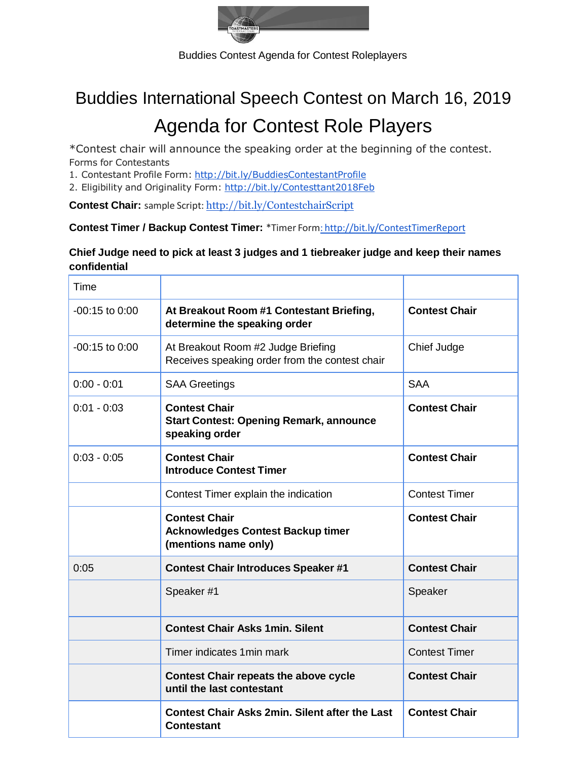

Buddies Contest Agenda for Contest Roleplayers

## Buddies International Speech Contest on March 16, 2019 Agenda for Contest Role Players

\*Contest chair will announce the speaking order at the beginning of the contest. Forms for Contestants

1. Contestant Profile Form: <http://bit.ly/BuddiesContestantProfile>

2. Eligibility and Originality Form: <http://bit.ly/Contesttant2018Feb>

**Contest Chair:** sample Script: <http://bit.ly/ContestchairScript>

**Contest Timer / Backup Contest Timer:** \*Timer Form: <http://bit.ly/ContestTimerReport>

## **Chief Judge need to pick at least 3 judges and 1 tiebreaker judge and keep their names confidential**

| Time               |                                                                                          |                      |
|--------------------|------------------------------------------------------------------------------------------|----------------------|
| $-00:15$ to $0:00$ | At Breakout Room #1 Contestant Briefing,<br>determine the speaking order                 | <b>Contest Chair</b> |
| $-00:15$ to $0:00$ | At Breakout Room #2 Judge Briefing<br>Receives speaking order from the contest chair     | Chief Judge          |
| $0:00 - 0:01$      | <b>SAA Greetings</b>                                                                     | <b>SAA</b>           |
| $0:01 - 0:03$      | <b>Contest Chair</b><br><b>Start Contest: Opening Remark, announce</b><br>speaking order | <b>Contest Chair</b> |
| $0:03 - 0:05$      | <b>Contest Chair</b><br><b>Introduce Contest Timer</b>                                   | <b>Contest Chair</b> |
|                    | Contest Timer explain the indication                                                     | <b>Contest Timer</b> |
|                    | <b>Contest Chair</b><br><b>Acknowledges Contest Backup timer</b><br>(mentions name only) | <b>Contest Chair</b> |
| 0:05               | <b>Contest Chair Introduces Speaker #1</b>                                               | <b>Contest Chair</b> |
|                    | Speaker #1                                                                               | Speaker              |
|                    | <b>Contest Chair Asks 1min, Silent</b>                                                   | <b>Contest Chair</b> |
|                    | Timer indicates 1 min mark                                                               | <b>Contest Timer</b> |
|                    | <b>Contest Chair repeats the above cycle</b><br>until the last contestant                | <b>Contest Chair</b> |
|                    | <b>Contest Chair Asks 2min. Silent after the Last</b><br><b>Contestant</b>               | <b>Contest Chair</b> |